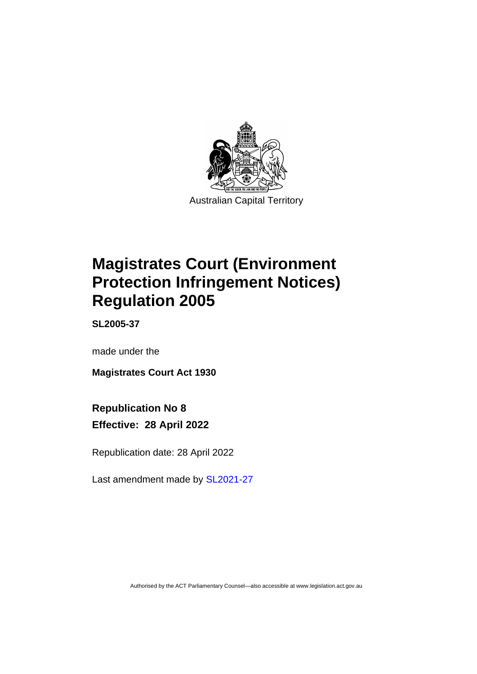

# **Magistrates Court (Environment Protection Infringement Notices) Regulation 2005**

**SL2005-37**

made under the

**Magistrates Court Act 1930**

# **Republication No 8 Effective: 28 April 2022**

Republication date: 28 April 2022

Last amendment made by [SL2021-27](http://www.legislation.act.gov.au/sl/2021-27/)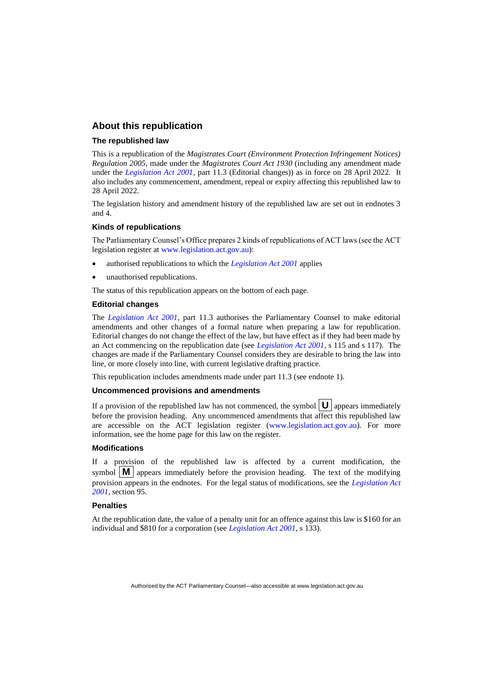# **About this republication**

### **The republished law**

This is a republication of the *Magistrates Court (Environment Protection Infringement Notices) Regulation 2005*, made under the *Magistrates Court Act 1930* (including any amendment made under the *[Legislation Act 2001](http://www.legislation.act.gov.au/a/2001-14)*, part 11.3 (Editorial changes)) as in force on 28 April 2022*.* It also includes any commencement, amendment, repeal or expiry affecting this republished law to 28 April 2022.

The legislation history and amendment history of the republished law are set out in endnotes 3 and 4.

### **Kinds of republications**

The Parliamentary Counsel's Office prepares 2 kinds of republications of ACT laws (see the ACT legislation register at [www.legislation.act.gov.au\)](http://www.legislation.act.gov.au/):

- authorised republications to which the *[Legislation Act 2001](http://www.legislation.act.gov.au/a/2001-14)* applies
- unauthorised republications.

The status of this republication appears on the bottom of each page.

#### **Editorial changes**

The *[Legislation Act 2001](http://www.legislation.act.gov.au/a/2001-14)*, part 11.3 authorises the Parliamentary Counsel to make editorial amendments and other changes of a formal nature when preparing a law for republication. Editorial changes do not change the effect of the law, but have effect as if they had been made by an Act commencing on the republication date (see *[Legislation Act 2001](http://www.legislation.act.gov.au/a/2001-14)*, s 115 and s 117). The changes are made if the Parliamentary Counsel considers they are desirable to bring the law into line, or more closely into line, with current legislative drafting practice.

This republication includes amendments made under part 11.3 (see endnote 1).

### **Uncommenced provisions and amendments**

If a provision of the republished law has not commenced, the symbol  $|\mathbf{U}|$  appears immediately before the provision heading. Any uncommenced amendments that affect this republished law are accessible on the ACT legislation register [\(www.legislation.act.gov.au\)](http://www.legislation.act.gov.au/). For more information, see the home page for this law on the register.

#### **Modifications**

If a provision of the republished law is affected by a current modification, the symbol  $\mathbf{M}$  appears immediately before the provision heading. The text of the modifying provision appears in the endnotes. For the legal status of modifications, see the *[Legislation Act](http://www.legislation.act.gov.au/a/2001-14)  [2001](http://www.legislation.act.gov.au/a/2001-14)*, section 95.

### **Penalties**

At the republication date, the value of a penalty unit for an offence against this law is \$160 for an individual and \$810 for a corporation (see *[Legislation Act 2001](http://www.legislation.act.gov.au/a/2001-14)*, s 133).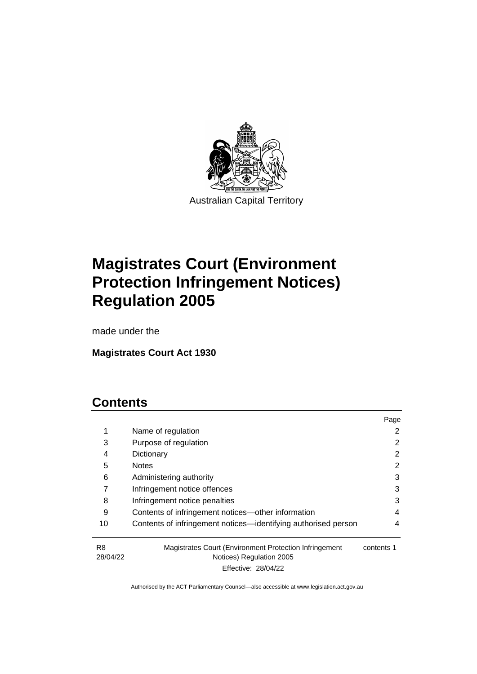

# **Magistrates Court (Environment Protection Infringement Notices) Regulation 2005**

made under the

**Magistrates Court Act 1930**

# **Contents**

|                |                                                                                    | Page       |
|----------------|------------------------------------------------------------------------------------|------------|
| 1              | Name of regulation                                                                 | 2          |
| 3              | Purpose of regulation                                                              | 2          |
| 4              | Dictionary                                                                         | 2          |
| 5              | <b>Notes</b>                                                                       | 2          |
| 6              | Administering authority                                                            | 3          |
|                | Infringement notice offences                                                       | 3          |
| 8              | Infringement notice penalties                                                      | 3          |
| 9              | Contents of infringement notices—other information                                 | 4          |
| 10             | Contents of infringement notices—identifying authorised person                     | 4          |
| R8<br>28/04/22 | Magistrates Court (Environment Protection Infringement<br>Notices) Regulation 2005 | contents 1 |

Effective: 28/04/22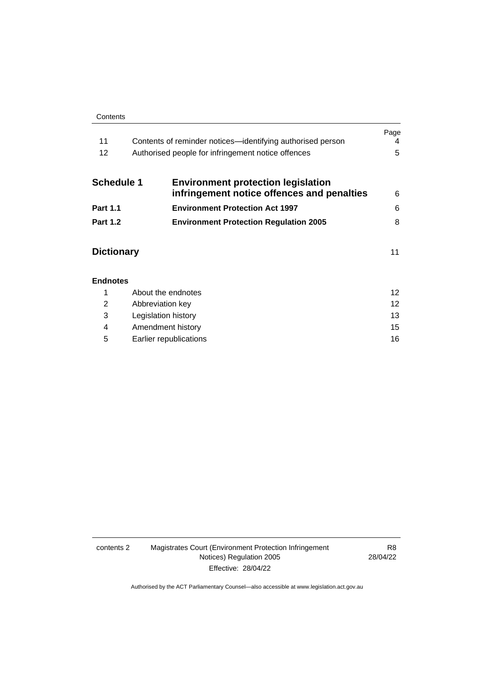#### **Contents**

**[Endnotes](#page-15-0)**

| 11                | Contents of reminder notices—identifying authorised person                              | Page<br>4 |
|-------------------|-----------------------------------------------------------------------------------------|-----------|
| 12                | Authorised people for infringement notice offences                                      | 5         |
| <b>Schedule 1</b> | <b>Environment protection legislation</b><br>infringement notice offences and penalties | 6         |
| <b>Part 1.1</b>   | <b>Environment Protection Act 1997</b>                                                  | 6         |
| <b>Part 1.2</b>   | <b>Environment Protection Regulation 2005</b>                                           | 8         |
| <b>Dictionary</b> |                                                                                         | 11        |
|                   |                                                                                         |           |

|   | About the endnotes     | 12 |
|---|------------------------|----|
| 2 | Abbreviation key       | 12 |
| 3 | Legislation history    | 13 |
| 4 | Amendment history      | 15 |
| 5 | Earlier republications | 16 |

### contents 2 Magistrates Court (Environment Protection Infringement Notices) Regulation 2005 Effective: 28/04/22

R8 28/04/22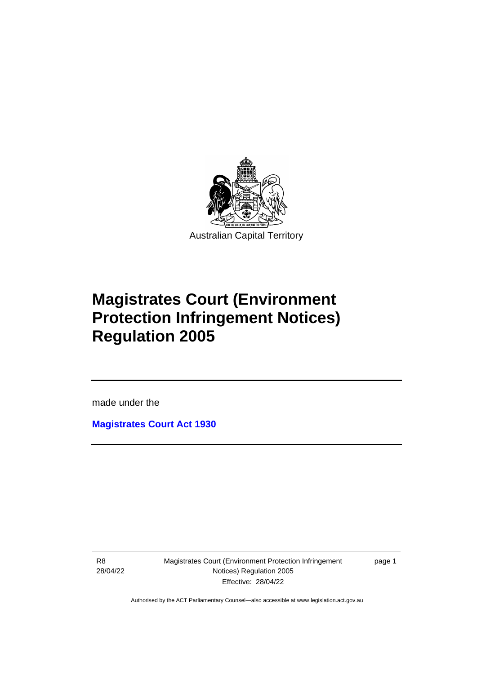

# **Magistrates Court (Environment Protection Infringement Notices) Regulation 2005**

made under the

**[Magistrates Court Act](http://www.legislation.act.gov.au/a/1930-21) 1930**

R8 28/04/22

ֺ֝

Magistrates Court (Environment Protection Infringement Notices) Regulation 2005 Effective: 28/04/22

page 1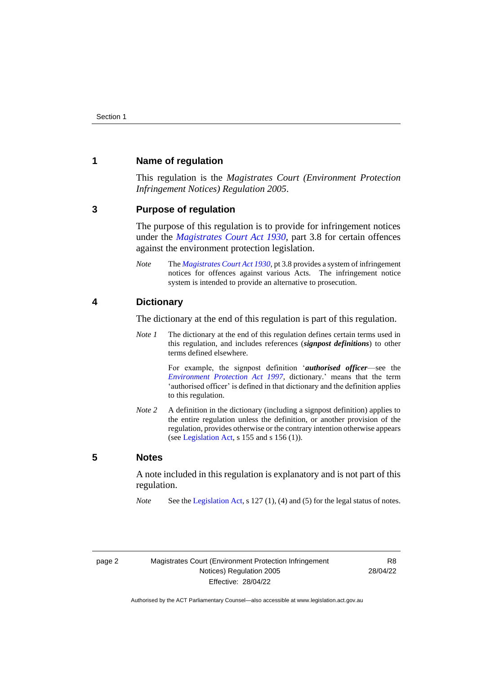# <span id="page-5-0"></span>**1 Name of regulation**

This regulation is the *Magistrates Court (Environment Protection Infringement Notices) Regulation 2005*.

### <span id="page-5-1"></span>**3 Purpose of regulation**

The purpose of this regulation is to provide for infringement notices under the *[Magistrates Court Act 1930](http://www.legislation.act.gov.au/a/1930-21)*, part 3.8 for certain offences against the environment protection legislation.

*Note* The *[Magistrates Court Act 1930](http://www.legislation.act.gov.au/a/1930-21)*, pt 3.8 provides a system of infringement notices for offences against various Acts. The infringement notice system is intended to provide an alternative to prosecution.

# <span id="page-5-2"></span>**4 Dictionary**

The dictionary at the end of this regulation is part of this regulation.

*Note 1* The dictionary at the end of this regulation defines certain terms used in this regulation, and includes references (*signpost definitions*) to other terms defined elsewhere.

> For example, the signpost definition '*authorised officer*—see the *[Environment Protection Act 1997](http://www.legislation.act.gov.au/a/1997-92)*, dictionary.' means that the term 'authorised officer' is defined in that dictionary and the definition applies to this regulation.

*Note* 2 A definition in the dictionary (including a signpost definition) applies to the entire regulation unless the definition, or another provision of the regulation, provides otherwise or the contrary intention otherwise appears (se[e Legislation Act,](http://www.legislation.act.gov.au/a/2001-14) s  $155$  and s  $156$  (1)).

### <span id="page-5-3"></span>**5 Notes**

A note included in this regulation is explanatory and is not part of this regulation.

*Note* See the [Legislation Act,](http://www.legislation.act.gov.au/a/2001-14) s 127 (1), (4) and (5) for the legal status of notes.

R8 28/04/22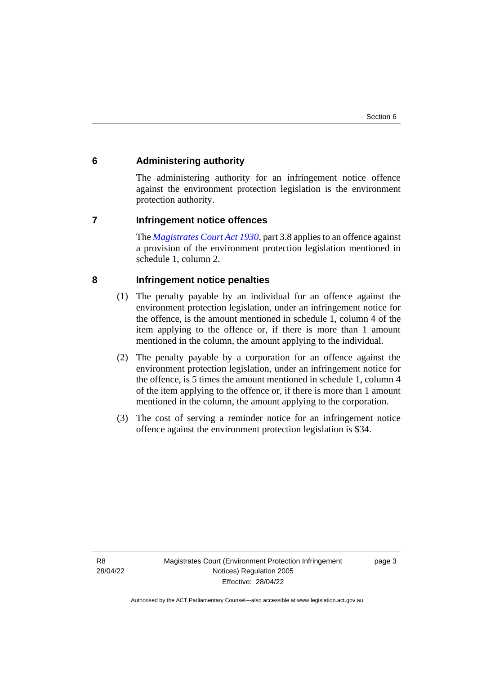# <span id="page-6-0"></span>**6 Administering authority**

The administering authority for an infringement notice offence against the environment protection legislation is the environment protection authority.

### <span id="page-6-1"></span>**7 Infringement notice offences**

The *[Magistrates Court Act 1930](http://www.legislation.act.gov.au/a/1930-21)*, part 3.8 applies to an offence against a provision of the environment protection legislation mentioned in schedule 1, column 2.

# <span id="page-6-2"></span>**8 Infringement notice penalties**

- (1) The penalty payable by an individual for an offence against the environment protection legislation, under an infringement notice for the offence, is the amount mentioned in schedule 1, column 4 of the item applying to the offence or, if there is more than 1 amount mentioned in the column, the amount applying to the individual.
- (2) The penalty payable by a corporation for an offence against the environment protection legislation, under an infringement notice for the offence, is 5 times the amount mentioned in schedule 1, column 4 of the item applying to the offence or, if there is more than 1 amount mentioned in the column, the amount applying to the corporation.
- (3) The cost of serving a reminder notice for an infringement notice offence against the environment protection legislation is \$34.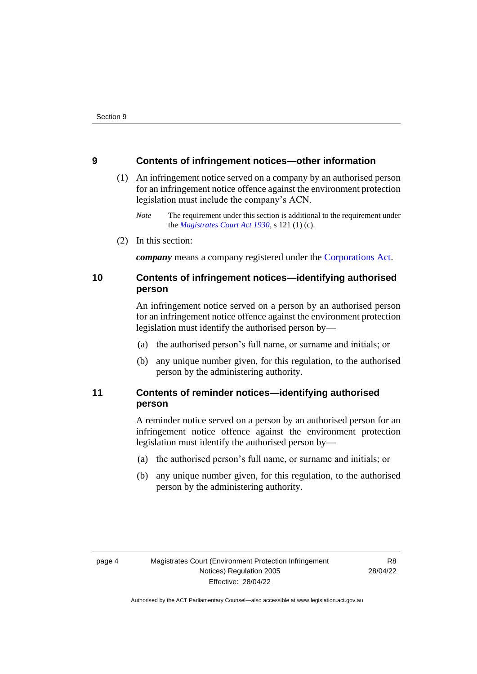# <span id="page-7-0"></span>**9 Contents of infringement notices—other information**

- (1) An infringement notice served on a company by an authorised person for an infringement notice offence against the environment protection legislation must include the company's ACN.
	- *Note* The requirement under this section is additional to the requirement under the *[Magistrates Court Act 1930](http://www.legislation.act.gov.au/a/1930-21)*, s 121 (1) (c).
- (2) In this section:

*company* means a company registered under the [Corporations Act.](http://www.comlaw.gov.au/Series/C2004A00818)

# <span id="page-7-1"></span>**10 Contents of infringement notices—identifying authorised person**

An infringement notice served on a person by an authorised person for an infringement notice offence against the environment protection legislation must identify the authorised person by—

- (a) the authorised person's full name, or surname and initials; or
- (b) any unique number given, for this regulation, to the authorised person by the administering authority.

# <span id="page-7-2"></span>**11 Contents of reminder notices—identifying authorised person**

A reminder notice served on a person by an authorised person for an infringement notice offence against the environment protection legislation must identify the authorised person by—

- (a) the authorised person's full name, or surname and initials; or
- (b) any unique number given, for this regulation, to the authorised person by the administering authority.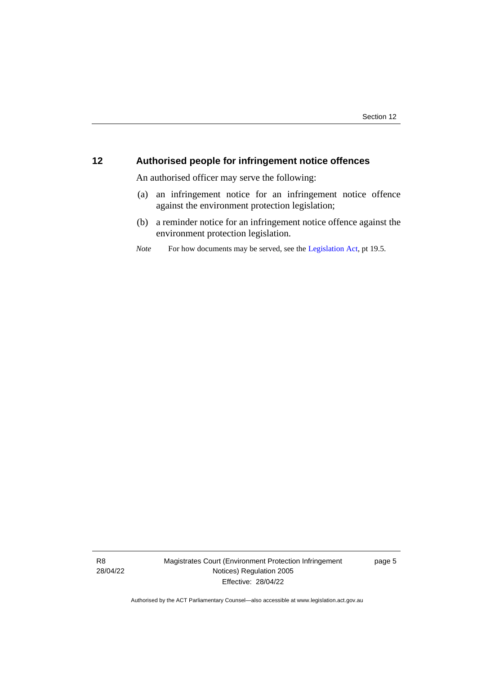# <span id="page-8-0"></span>**12 Authorised people for infringement notice offences**

An authorised officer may serve the following:

- (a) an infringement notice for an infringement notice offence against the environment protection legislation;
- (b) a reminder notice for an infringement notice offence against the environment protection legislation.
- *Note* For how documents may be served, see th[e Legislation Act,](http://www.legislation.act.gov.au/a/2001-14) pt 19.5.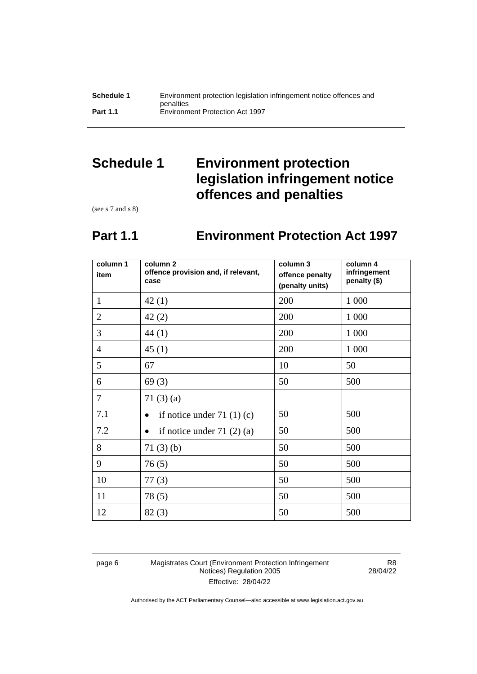# <span id="page-9-0"></span>**Schedule 1 Environment protection legislation infringement notice offences and penalties**

<span id="page-9-1"></span>(see s 7 and s 8)

# **Part 1.1 Environment Protection Act 1997**

| column 1<br>item | column <sub>2</sub><br>offence provision and, if relevant,<br>case | column 3<br>offence penalty<br>(penalty units) | column 4<br>infringement<br>penalty (\$) |
|------------------|--------------------------------------------------------------------|------------------------------------------------|------------------------------------------|
| $\mathbf{1}$     | 42(1)                                                              | 200                                            | 1 0 0 0                                  |
| $\overline{2}$   | 42(2)                                                              | 200                                            | 1 0 0 0                                  |
| 3                | 44(1)                                                              | 200                                            | 1 000                                    |
| $\overline{4}$   | 45(1)                                                              | 200                                            | 1 0 0 0                                  |
| 5                | 67                                                                 | 10                                             | 50                                       |
| 6                | 69(3)                                                              | 50                                             | 500                                      |
| 7                | 71 $(3)$ $(a)$                                                     |                                                |                                          |
| 7.1              | if notice under 71 $(1)(c)$                                        | 50                                             | 500                                      |
| 7.2              | if notice under $71(2)(a)$                                         | 50                                             | 500                                      |
| 8                | 71(3)(b)                                                           | 50                                             | 500                                      |
| 9                | 76(5)                                                              | 50                                             | 500                                      |
| 10               | 77(3)                                                              | 50                                             | 500                                      |
| 11               | 78(5)                                                              | 50                                             | 500                                      |
| 12               | 82(3)                                                              | 50                                             | 500                                      |

page 6 Magistrates Court (Environment Protection Infringement Notices) Regulation 2005 Effective: 28/04/22

R8 28/04/22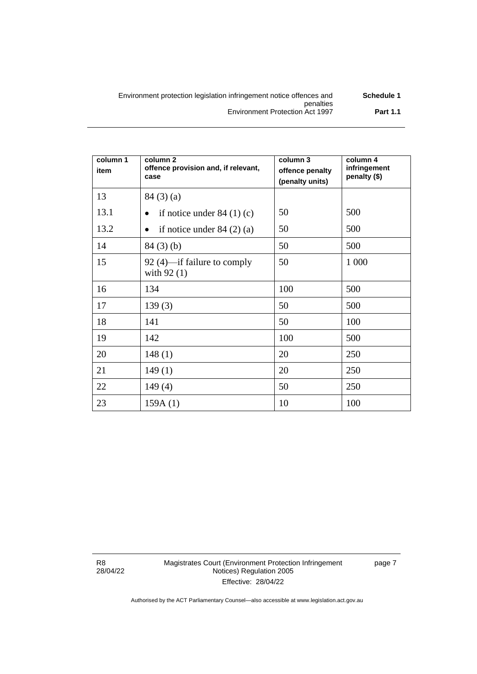| Environment protection legislation infringement notice offences and | Schedule 1      |
|---------------------------------------------------------------------|-----------------|
| penalties                                                           |                 |
| Environment Protection Act 1997                                     | <b>Part 1.1</b> |

| column 1<br>item | column <sub>2</sub><br>offence provision and, if relevant,<br>case | column 3<br>offence penalty<br>(penalty units) | column 4<br>infringement<br>penalty (\$) |
|------------------|--------------------------------------------------------------------|------------------------------------------------|------------------------------------------|
| 13               | 84(3)(a)                                                           |                                                |                                          |
| 13.1             | if notice under $84(1)(c)$                                         | 50                                             | 500                                      |
| 13.2             | if notice under $84(2)(a)$<br>٠                                    | 50                                             | 500                                      |
| 14               | $84(3)$ (b)                                                        | 50                                             | 500                                      |
| 15               | 92 (4)—if failure to comply<br>with $92(1)$                        | 50                                             | 1 000                                    |
| 16               | 134                                                                | 100                                            | 500                                      |
| 17               | 139(3)                                                             | 50                                             | 500                                      |
| 18               | 141                                                                | 50                                             | 100                                      |
| 19               | 142                                                                | 100                                            | 500                                      |
| 20               | 148(1)                                                             | 20                                             | 250                                      |
| 21               | 149(1)                                                             | 20                                             | 250                                      |
| 22               | 149(4)                                                             | 50                                             | 250                                      |
| 23               | 159A(1)                                                            | 10                                             | 100                                      |

R8 28/04/22 page 7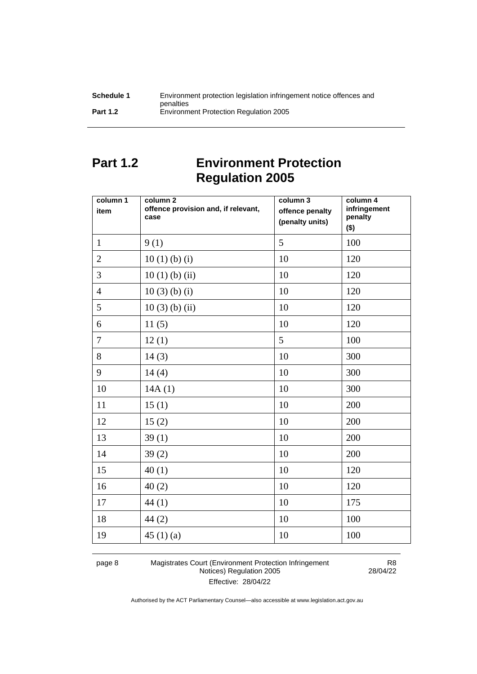| Schedule 1      | Environment protection legislation infringement notice offences and |
|-----------------|---------------------------------------------------------------------|
|                 | penalties                                                           |
| <b>Part 1.2</b> | Environment Protection Regulation 2005                              |

# <span id="page-11-0"></span>**Part 1.2 Environment Protection Regulation 2005**

| column 1<br>item | column 2<br>offence provision and, if relevant,<br>case | column 3<br>offence penalty<br>(penalty units) | column 4<br>infringement<br>penalty<br>$($ \$) |
|------------------|---------------------------------------------------------|------------------------------------------------|------------------------------------------------|
| $\mathbf{1}$     | 9(1)                                                    | 5                                              | 100                                            |
| $\overline{2}$   | $10(1)$ (b) (i)                                         | 10                                             | 120                                            |
| 3                | $10(1)$ (b) (ii)                                        | 10                                             | 120                                            |
| $\overline{4}$   | $10(3)$ (b) (i)                                         | 10                                             | 120                                            |
| 5                | $10(3)$ (b) (ii)                                        | 10                                             | 120                                            |
| 6                | 11(5)                                                   | 10                                             | 120                                            |
| $\tau$           | 12(1)                                                   | 5                                              | 100                                            |
| 8                | 14(3)                                                   | 10                                             | 300                                            |
| 9                | 14(4)                                                   | 10                                             | 300                                            |
| 10               | 14A(1)                                                  | 10                                             | 300                                            |
| 11               | 15(1)                                                   | 10                                             | 200                                            |
| 12               | 15(2)                                                   | 10                                             | 200                                            |
| 13               | 39(1)                                                   | 10                                             | 200                                            |
| 14               | 39(2)                                                   | 10                                             | 200                                            |
| 15               | 40(1)                                                   | 10                                             | 120                                            |
| 16               | 40(2)                                                   | 10                                             | 120                                            |
| 17               | 44(1)                                                   | 10                                             | 175                                            |
| 18               | 44(2)                                                   | 10                                             | 100                                            |
| 19               | 45 $(1)(a)$                                             | 10                                             | 100                                            |

page 8 Magistrates Court (Environment Protection Infringement Notices) Regulation 2005 Effective: 28/04/22

R8 28/04/22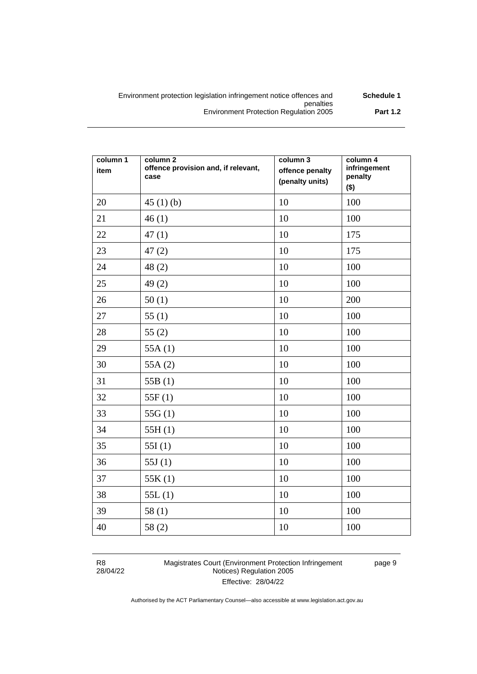| Schedule 1      | Environment protection legislation infringement notice offences and |
|-----------------|---------------------------------------------------------------------|
|                 | penalties                                                           |
| <b>Part 1.2</b> | <b>Environment Protection Regulation 2005</b>                       |

| column 1<br>item | column <sub>2</sub><br>offence provision and, if relevant,<br>case | column 3<br>offence penalty<br>(penalty units) | column 4<br>infringement<br>penalty<br>$($ \$) |
|------------------|--------------------------------------------------------------------|------------------------------------------------|------------------------------------------------|
| 20               | 45 $(1)$ $(b)$                                                     | 10                                             | 100                                            |
| 21               | 46(1)                                                              | 10                                             | 100                                            |
| 22               | 47(1)                                                              | 10                                             | 175                                            |
| 23               | 47(2)                                                              | $10\,$                                         | 175                                            |
| 24               | 48(2)                                                              | 10                                             | 100                                            |
| 25               | 49(2)                                                              | 10                                             | 100                                            |
| 26               | 50(1)                                                              | 10                                             | 200                                            |
| 27               | 55(1)                                                              | 10                                             | 100                                            |
| 28               | 55(2)                                                              | 10                                             | 100                                            |
| 29               | 55A $(1)$                                                          | 10                                             | 100                                            |
| 30               | 55A $(2)$                                                          | 10                                             | 100                                            |
| 31               | 55B $(1)$                                                          | 10                                             | 100                                            |
| 32               | 55F(1)                                                             | 10                                             | 100                                            |
| 33               | 55 $G(1)$                                                          | 10                                             | 100                                            |
| 34               | 55H(1)                                                             | 10                                             | 100                                            |
| 35               | 55I(1)                                                             | 10                                             | 100                                            |
| 36               | 55 $J(1)$                                                          | 10                                             | 100                                            |
| 37               | 55K(1)                                                             | 10                                             | 100                                            |
| 38               | 55L(1)                                                             | 10                                             | 100                                            |
| 39               | 58(1)                                                              | 10                                             | 100                                            |
| 40               | 58(2)                                                              | 10                                             | 100                                            |

| R8       |  |
|----------|--|
| 28/04/22 |  |

Magistrates Court (Environment Protection Infringement Notices) Regulation 2005 Effective: 28/04/22

page 9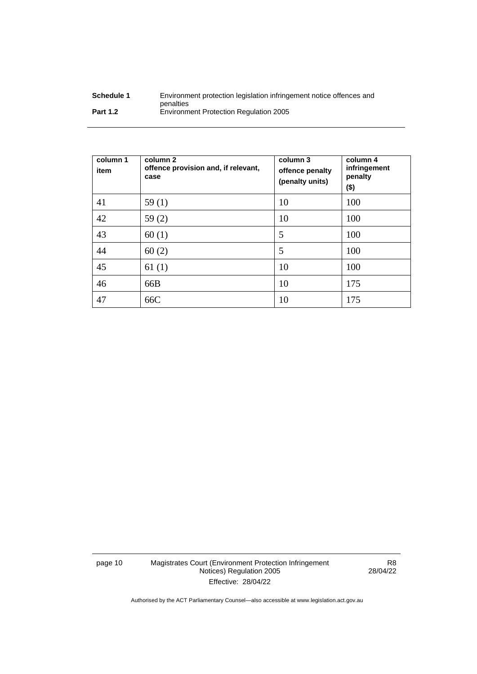| Schedule 1      | Environment protection legislation infringement notice offences and |
|-----------------|---------------------------------------------------------------------|
|                 | penalties                                                           |
| <b>Part 1.2</b> | <b>Environment Protection Regulation 2005</b>                       |

| column 1<br>item | column 2<br>offence provision and, if relevant,<br>case | column 3<br>offence penalty<br>(penalty units) | column 4<br>infringement<br>penalty<br>$($ \$) |
|------------------|---------------------------------------------------------|------------------------------------------------|------------------------------------------------|
| 41               | 59(1)                                                   | 10                                             | 100                                            |
| 42               | 59(2)                                                   | 10                                             | 100                                            |
| 43               | 60(1)                                                   | 5                                              | 100                                            |
| 44               | 60(2)                                                   | 5                                              | 100                                            |
| 45               | 61(1)                                                   | 10                                             | 100                                            |
| 46               | 66B                                                     | 10                                             | 175                                            |
| 47               | 66C                                                     | 10                                             | 175                                            |

page 10 Magistrates Court (Environment Protection Infringement Notices) Regulation 2005 Effective: 28/04/22

R8 28/04/22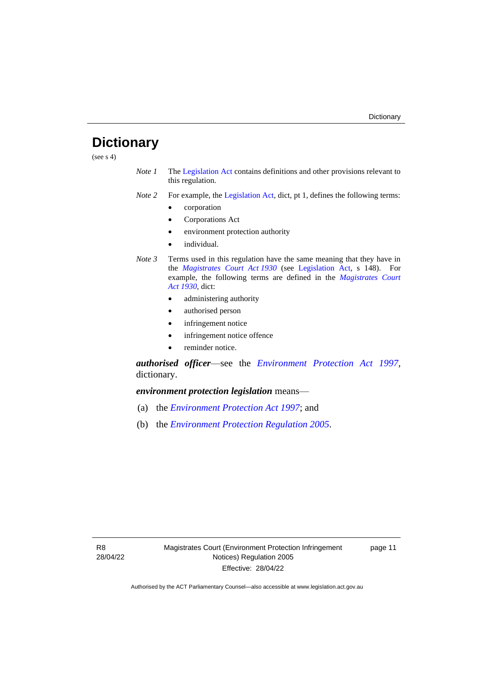# <span id="page-14-0"></span>**Dictionary**

(see  $s$  4)

- *Note 1* The [Legislation Act](http://www.legislation.act.gov.au/a/2001-14) contains definitions and other provisions relevant to this regulation.
- *Note 2* For example, the [Legislation Act,](http://www.legislation.act.gov.au/a/2001-14) dict, pt 1, defines the following terms:
	- corporation
	- Corporations Act
	- environment protection authority
	- individual.
- *Note 3* Terms used in this regulation have the same meaning that they have in the *[Magistrates Court Act](http://www.legislation.act.gov.au/a/1930-21) 1930* (see [Legislation Act,](http://www.legislation.act.gov.au/a/2001-14) s 148). For example, the following terms are defined in the *[Magistrates Court](http://www.legislation.act.gov.au/a/1930-21)  Act [1930](http://www.legislation.act.gov.au/a/1930-21)*, dict:
	- administering authority
	- authorised person
	- infringement notice
	- infringement notice offence
	- reminder notice.

*authorised officer*—see the *[Environment Protection Act 1997](http://www.legislation.act.gov.au/a/1997-92)*, dictionary.

*environment protection legislation* means—

- (a) the *[Environment Protection Act 1997](http://www.legislation.act.gov.au/a/1997-92)*; and
- (b) the *[Environment Protection Regulation 2005](http://www.legislation.act.gov.au/sl/2005-38)*.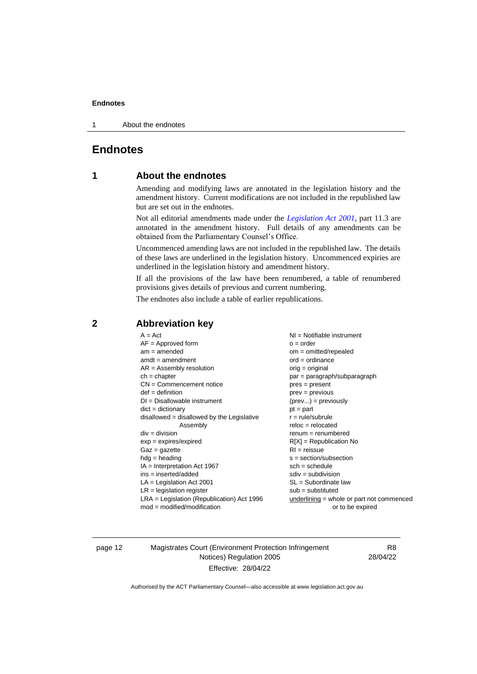1 About the endnotes

# <span id="page-15-1"></span><span id="page-15-0"></span>**Endnotes**

# **1 About the endnotes**

Amending and modifying laws are annotated in the legislation history and the amendment history. Current modifications are not included in the republished law but are set out in the endnotes.

Not all editorial amendments made under the *[Legislation Act 2001](http://www.legislation.act.gov.au/a/2001-14)*, part 11.3 are annotated in the amendment history. Full details of any amendments can be obtained from the Parliamentary Counsel's Office.

Uncommenced amending laws are not included in the republished law. The details of these laws are underlined in the legislation history. Uncommenced expiries are underlined in the legislation history and amendment history.

If all the provisions of the law have been renumbered, a table of renumbered provisions gives details of previous and current numbering.

The endnotes also include a table of earlier republications.

| $A = Act$<br>$AF =$ Approved form            | $NI =$ Notifiable instrument<br>$o = order$ |
|----------------------------------------------|---------------------------------------------|
| $am = amended$                               | $om = omitted/repealed$                     |
| $amdt = amendment$                           | $ord = ordinance$                           |
| $AR = Assembly$ resolution                   | $orig = original$                           |
| $ch = chapter$                               | par = paragraph/subparagraph                |
| $CN =$ Commencement notice                   | $pres = present$                            |
| $def = definition$                           | $prev = previous$                           |
| $DI = Disallowable instrument$               | $(\text{prev}) = \text{previously}$         |
| $dict = dictionary$                          | $pt = part$                                 |
| $disallowed = disallowed by the Legislative$ | $r = rule/subrule$                          |
|                                              |                                             |
| Assembly                                     | $reloc = relocated$                         |
| $div = division$                             | $remum = renumbered$                        |
| $exp = expires/expired$                      | $R[X]$ = Republication No                   |
| $Gaz = gazette$                              | $RI =$ reissue                              |
| $hdg =$ heading                              | $s = section/subsection$                    |
| $IA = Interpretation Act 1967$               | $sch = schedule$                            |
| ins = inserted/added                         | $sdiv = subdivision$                        |
| $LA =$ Legislation Act 2001                  | $SL = Subordinate$ law                      |
| $LR =$ legislation register                  | $sub =$ substituted                         |
| LRA = Legislation (Republication) Act 1996   | underlining = whole or part not commenced   |
| $mod = modified/modification$                | or to be expired                            |

# <span id="page-15-2"></span>**2 Abbreviation key**

page 12 Magistrates Court (Environment Protection Infringement Notices) Regulation 2005 Effective: 28/04/22

R8 28/04/22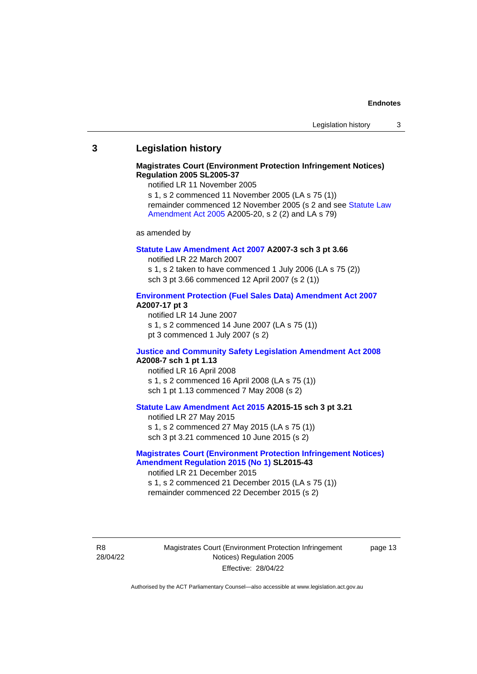### <span id="page-16-0"></span>**3 Legislation history**

### **Magistrates Court (Environment Protection Infringement Notices) Regulation 2005 SL2005-37**

notified LR 11 November 2005

s 1, s 2 commenced 11 November 2005 (LA s 75 (1)) remainder commenced 12 November 2005 (s 2 and see [Statute Law](http://www.legislation.act.gov.au/a/2005-20)  [Amendment Act 2005](http://www.legislation.act.gov.au/a/2005-20) A2005-20, s 2 (2) and LA s 79)

as amended by

### **[Statute Law Amendment Act 2007](http://www.legislation.act.gov.au/a/2007-3) A2007-3 sch 3 pt 3.66**

notified LR 22 March 2007 s 1, s 2 taken to have commenced 1 July 2006 (LA s 75 (2)) sch 3 pt 3.66 commenced 12 April 2007 (s 2 (1))

### **[Environment Protection \(Fuel Sales Data\) Amendment Act 2007](http://www.legislation.act.gov.au/a/2007-17) A2007-17 pt 3**

notified LR 14 June 2007 s 1, s 2 commenced 14 June 2007 (LA s 75 (1)) pt 3 commenced 1 July 2007 (s 2)

### **[Justice and Community Safety Legislation Amendment Act 2008](http://www.legislation.act.gov.au/a/2008-7) A2008-7 sch 1 pt 1.13**

notified LR 16 April 2008 s 1, s 2 commenced 16 April 2008 (LA s 75 (1)) sch 1 pt 1.13 commenced 7 May 2008 (s 2)

### **[Statute Law Amendment Act 2015](http://www.legislation.act.gov.au/a/2015-15) A2015-15 sch 3 pt 3.21**

notified LR 27 May 2015 s 1, s 2 commenced 27 May 2015 (LA s 75 (1)) sch 3 pt 3.21 commenced 10 June 2015 (s 2)

## **[Magistrates Court \(Environment Protection Infringement Notices\)](http://www.legislation.act.gov.au/sl/2015-43)  [Amendment Regulation 2015 \(No 1\)](http://www.legislation.act.gov.au/sl/2015-43) SL2015-43**

notified LR 21 December 2015 s 1, s 2 commenced 21 December 2015 (LA s 75 (1)) remainder commenced 22 December 2015 (s 2)

R8 28/04/22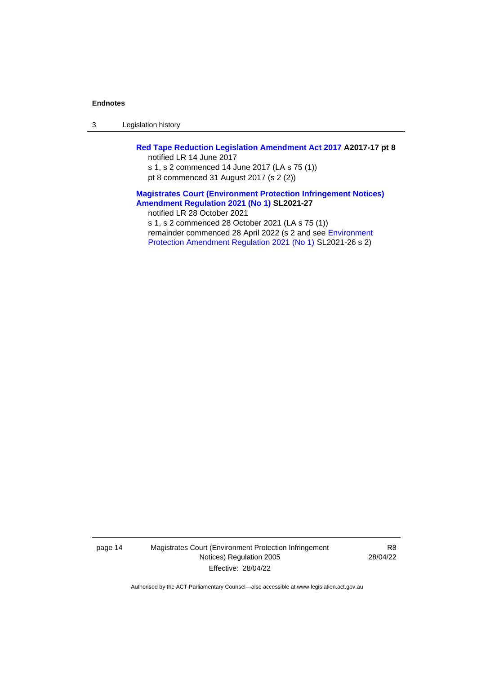3 Legislation history

## **[Red Tape Reduction Legislation Amendment Act 2017](http://www.legislation.act.gov.au/a/2017-17%20/default.asp) A2017-17 pt 8** notified LR 14 June 2017

s 1, s 2 commenced 14 June 2017 (LA s 75 (1)) pt 8 commenced 31 August 2017 (s 2 (2))

### **[Magistrates Court \(Environment Protection Infringement Notices\)](http://www.legislation.act.gov.au/sl/2021-27)  [Amendment Regulation 2021 \(No 1\)](http://www.legislation.act.gov.au/sl/2021-27) SL2021-27**

notified LR 28 October 2021

s 1, s 2 commenced 28 October 2021 (LA s 75 (1)) remainder commenced 28 April 2022 (s 2 and see [Environment](https://www.legislation.act.gov.au/sl/2021-26/) 

[Protection Amendment Regulation 2021 \(No 1\) S](https://www.legislation.act.gov.au/sl/2021-26/)L2021-26 s 2)

page 14 Magistrates Court (Environment Protection Infringement Notices) Regulation 2005 Effective: 28/04/22

R8 28/04/22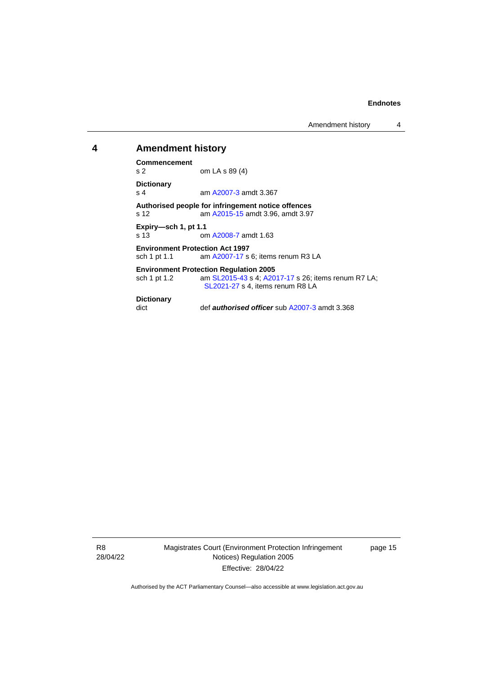Amendment history 4

### <span id="page-18-0"></span>**4 Amendment history**

**Commencement**

om LA s 89 (4) **Dictionary**

s 4 am [A2007-3](http://www.legislation.act.gov.au/a/2007-3) amdt 3.367

**Authorised people for infringement notice offences** am [A2015-15](http://www.legislation.act.gov.au/a/2015-15) amdt 3.96, amdt 3.97

**Expiry—sch 1, pt 1.1** s 13 om [A2008-7](http://www.legislation.act.gov.au/a/2008-7) amdt 1.63

**Environment Protection Act 1997**<br>sch 1 pt 1.1 am A2007-17 s am [A2007-17](http://www.legislation.act.gov.au/a/2007-17) s 6; items renum R3 LA

#### **Environment Protection Regulation 2005**

sch 1 pt 1.2 am [SL2015-43](http://www.legislation.act.gov.au/sl/2015-43) s 4[; A2017-17](http://www.legislation.act.gov.au/a/2017-17/default.asp) s 26; items renum R7 LA; [SL2021-27](http://www.legislation.act.gov.au/sl/2021-27/) s 4, items renum R8 LA

### **Dictionary**

dict def *authorised officer* su[b A2007-3](http://www.legislation.act.gov.au/a/2007-3) amdt 3.368

R8 28/04/22 Magistrates Court (Environment Protection Infringement Notices) Regulation 2005 Effective: 28/04/22

page 15